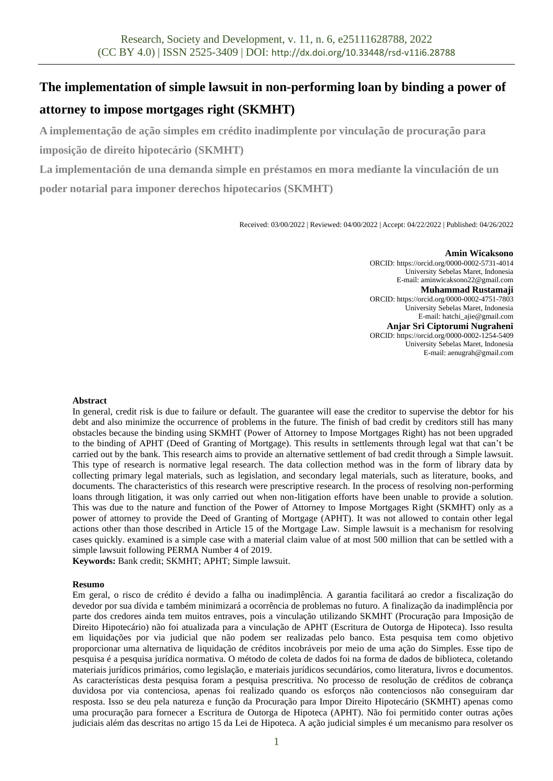# **The implementation of simple lawsuit in non-performing loan by binding a power of attorney to impose mortgages right (SKMHT)**

**A implementação de ação simples em crédito inadimplente por vinculação de procuração para imposição de direito hipotecário (SKMHT)**

**La implementación de una demanda simple en préstamos en mora mediante la vinculación de un poder notarial para imponer derechos hipotecarios (SKMHT)**

Received: 03/00/2022 | Reviewed: 04/00/2022 | Accept: 04/22/2022 | Published: 04/26/2022

#### **Amin Wicaksono**

ORCID[: https://orcid.org/0000-0002-5731-4014](https://orcid.org/0000-0002-5731-4014) University Sebelas Maret, Indonesia E-mail: aminwicaksono22@gmail.com **Muhammad Rustamaji** ORCID[: https://orcid.org/0000-0002-4751-7803](https://orcid.org/0000-0002-4751-7803) University Sebelas Maret, Indonesia E-mail[: hatchi\\_ajie@gmail.com](mailto:hatchi_ajie@gmail.com) **Anjar Sri Ciptorumi Nugraheni** ORCID[: https://orcid.org/0000-0002-1254-5409](https://orcid.org/0000-0002-1254-5409) University Sebelas Maret, Indonesia E-mail: aenugrah@gmail.com

#### **Abstract**

In general, credit risk is due to failure or default. The guarantee will ease the creditor to supervise the debtor for his debt and also minimize the occurrence of problems in the future. The finish of bad credit by creditors still has many obstacles because the binding using SKMHT (Power of Attorney to Impose Mortgages Right) has not been upgraded to the binding of APHT (Deed of Granting of Mortgage). This results in settlements through legal wat that can't be carried out by the bank. This research aims to provide an alternative settlement of bad credit through a Simple lawsuit. This type of research is normative legal research. The data collection method was in the form of library data by collecting primary legal materials, such as legislation, and secondary legal materials, such as literature, books, and documents. The characteristics of this research were prescriptive research. In the process of resolving non-performing loans through litigation, it was only carried out when non-litigation efforts have been unable to provide a solution. This was due to the nature and function of the Power of Attorney to Impose Mortgages Right (SKMHT) only as a power of attorney to provide the Deed of Granting of Mortgage (APHT). It was not allowed to contain other legal actions other than those described in Article 15 of the Mortgage Law. Simple lawsuit is a mechanism for resolving cases quickly. examined is a simple case with a material claim value of at most 500 million that can be settled with a simple lawsuit following PERMA Number 4 of 2019.

**Keywords:** Bank credit; SKMHT; APHT; Simple lawsuit.

#### **Resumo**

Em geral, o risco de crédito é devido a falha ou inadimplência. A garantia facilitará ao credor a fiscalização do devedor por sua dívida e também minimizará a ocorrência de problemas no futuro. A finalização da inadimplência por parte dos credores ainda tem muitos entraves, pois a vinculação utilizando SKMHT (Procuração para Imposição de Direito Hipotecário) não foi atualizada para a vinculação de APHT (Escritura de Outorga de Hipoteca). Isso resulta em liquidações por via judicial que não podem ser realizadas pelo banco. Esta pesquisa tem como objetivo proporcionar uma alternativa de liquidação de créditos incobráveis por meio de uma ação do Simples. Esse tipo de pesquisa é a pesquisa jurídica normativa. O método de coleta de dados foi na forma de dados de biblioteca, coletando materiais jurídicos primários, como legislação, e materiais jurídicos secundários, como literatura, livros e documentos. As características desta pesquisa foram a pesquisa prescritiva. No processo de resolução de créditos de cobrança duvidosa por via contenciosa, apenas foi realizado quando os esforços não contenciosos não conseguiram dar resposta. Isso se deu pela natureza e função da Procuração para Impor Direito Hipotecário (SKMHT) apenas como uma procuração para fornecer a Escritura de Outorga de Hipoteca (APHT). Não foi permitido conter outras ações judiciais além das descritas no artigo 15 da Lei de Hipoteca. A ação judicial simples é um mecanismo para resolver os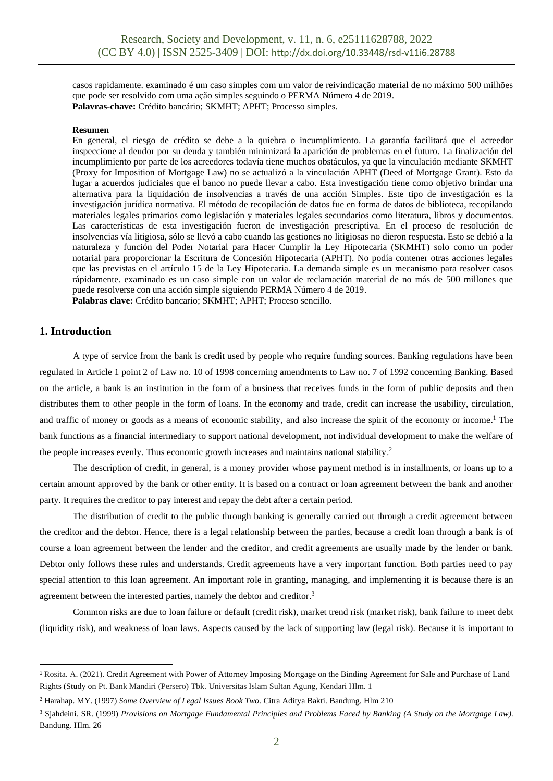casos rapidamente. examinado é um caso simples com um valor de reivindicação material de no máximo 500 milhões que pode ser resolvido com uma ação simples seguindo o PERMA Número 4 de 2019. **Palavras-chave:** Crédito bancário; SKMHT; APHT; Processo simples.

#### **Resumen**

En general, el riesgo de crédito se debe a la quiebra o incumplimiento. La garantía facilitará que el acreedor inspeccione al deudor por su deuda y también minimizará la aparición de problemas en el futuro. La finalización del incumplimiento por parte de los acreedores todavía tiene muchos obstáculos, ya que la vinculación mediante SKMHT (Proxy for Imposition of Mortgage Law) no se actualizó a la vinculación APHT (Deed of Mortgage Grant). Esto da lugar a acuerdos judiciales que el banco no puede llevar a cabo. Esta investigación tiene como objetivo brindar una alternativa para la liquidación de insolvencias a través de una acción Simples. Este tipo de investigación es la investigación jurídica normativa. El método de recopilación de datos fue en forma de datos de biblioteca, recopilando materiales legales primarios como legislación y materiales legales secundarios como literatura, libros y documentos. Las características de esta investigación fueron de investigación prescriptiva. En el proceso de resolución de insolvencias vía litigiosa, sólo se llevó a cabo cuando las gestiones no litigiosas no dieron respuesta. Esto se debió a la naturaleza y función del Poder Notarial para Hacer Cumplir la Ley Hipotecaria (SKMHT) solo como un poder notarial para proporcionar la Escritura de Concesión Hipotecaria (APHT). No podía contener otras acciones legales que las previstas en el artículo 15 de la Ley Hipotecaria. La demanda simple es un mecanismo para resolver casos rápidamente. examinado es un caso simple con un valor de reclamación material de no más de 500 millones que puede resolverse con una acción simple siguiendo PERMA Número 4 de 2019. **Palabras clave:** Crédito bancario; SKMHT; APHT; Proceso sencillo.

## **1. Introduction**

A type of service from the bank is credit used by people who require funding sources. Banking regulations have been regulated in Article 1 point 2 of Law no. 10 of 1998 concerning amendments to Law no. 7 of 1992 concerning Banking. Based on the article, a bank is an institution in the form of a business that receives funds in the form of public deposits and then distributes them to other people in the form of loans. In the economy and trade, credit can increase the usability, circulation, and traffic of money or goods as a means of economic stability, and also increase the spirit of the economy or income. <sup>1</sup> The bank functions as a financial intermediary to support national development, not individual development to make the welfare of the people increases evenly. Thus economic growth increases and maintains national stability. 2

The description of credit, in general, is a money provider whose payment method is in installments, or loans up to a certain amount approved by the bank or other entity. It is based on a contract or loan agreement between the bank and another party. It requires the creditor to pay interest and repay the debt after a certain period.

The distribution of credit to the public through banking is generally carried out through a credit agreement between the creditor and the debtor. Hence, there is a legal relationship between the parties, because a credit loan through a bank is of course a loan agreement between the lender and the creditor, and credit agreements are usually made by the lender or bank. Debtor only follows these rules and understands. Credit agreements have a very important function. Both parties need to pay special attention to this loan agreement. An important role in granting, managing, and implementing it is because there is an agreement between the interested parties, namely the debtor and creditor.<sup>3</sup>

Common risks are due to loan failure or default (credit risk), market trend risk (market risk), bank failure to meet debt (liquidity risk), and weakness of loan laws. Aspects caused by the lack of supporting law (legal risk). Because it is important to

<sup>1</sup> Rosita. A. (2021). Credit Agreement with Power of Attorney Imposing Mortgage on the Binding Agreement for Sale and Purchase of Land Rights (Study on Pt. Bank Mandiri (Persero) Tbk. Universitas Islam Sultan Agung, Kendari Hlm. 1

<sup>2</sup> Harahap. MY. (1997) *Some Overview of Legal Issues Book Two.* Citra Aditya Bakti. Bandung*.* Hlm 210

<sup>3</sup> Sjahdeini. SR. (1999) *Provisions on Mortgage Fundamental Principles and Problems Faced by Banking (A Study on the Mortgage Law).*  Bandung. Hlm. 26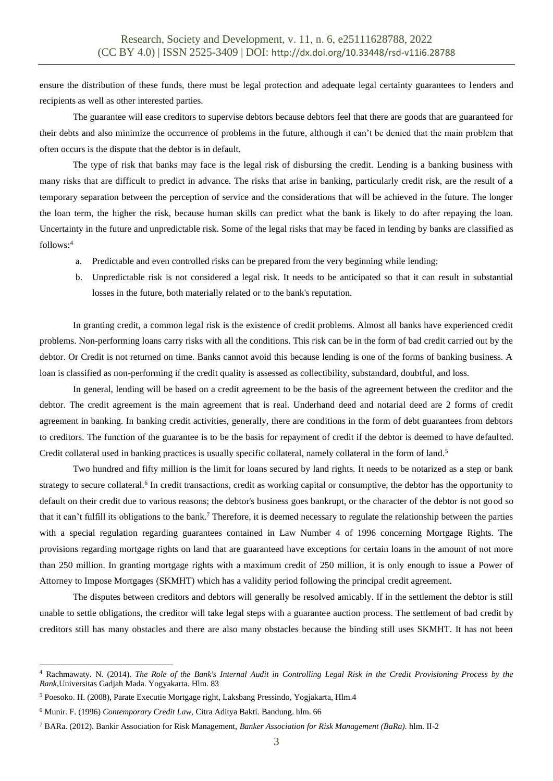ensure the distribution of these funds, there must be legal protection and adequate legal certainty guarantees to lenders and recipients as well as other interested parties.

The guarantee will ease creditors to supervise debtors because debtors feel that there are goods that are guaranteed for their debts and also minimize the occurrence of problems in the future, although it can't be denied that the main problem that often occurs is the dispute that the debtor is in default.

The type of risk that banks may face is the legal risk of disbursing the credit. Lending is a banking business with many risks that are difficult to predict in advance. The risks that arise in banking, particularly credit risk, are the result of a temporary separation between the perception of service and the considerations that will be achieved in the future. The longer the loan term, the higher the risk, because human skills can predict what the bank is likely to do after repaying the loan. Uncertainty in the future and unpredictable risk. Some of the legal risks that may be faced in lending by banks are classified as follows: 4

- a. Predictable and even controlled risks can be prepared from the very beginning while lending;
- b. Unpredictable risk is not considered a legal risk. It needs to be anticipated so that it can result in substantial losses in the future, both materially related or to the bank's reputation.

In granting credit, a common legal risk is the existence of credit problems. Almost all banks have experienced credit problems. Non-performing loans carry risks with all the conditions. This risk can be in the form of bad credit carried out by the debtor. Or Credit is not returned on time. Banks cannot avoid this because lending is one of the forms of banking business. A loan is classified as non-performing if the credit quality is assessed as collectibility, substandard, doubtful, and loss.

In general, lending will be based on a credit agreement to be the basis of the agreement between the creditor and the debtor. The credit agreement is the main agreement that is real. Underhand deed and notarial deed are 2 forms of credit agreement in banking. In banking credit activities, generally, there are conditions in the form of debt guarantees from debtors to creditors. The function of the guarantee is to be the basis for repayment of credit if the debtor is deemed to have defaulted. Credit collateral used in banking practices is usually specific collateral, namely collateral in the form of land.<sup>5</sup>

Two hundred and fifty million is the limit for loans secured by land rights. It needs to be notarized as a step or bank strategy to secure collateral.<sup>6</sup> In credit transactions, credit as working capital or consumptive, the debtor has the opportunity to default on their credit due to various reasons; the debtor's business goes bankrupt, or the character of the debtor is not good so that it can't fulfill its obligations to the bank.<sup>7</sup> Therefore, it is deemed necessary to regulate the relationship between the parties with a special regulation regarding guarantees contained in Law Number 4 of 1996 concerning Mortgage Rights. The provisions regarding mortgage rights on land that are guaranteed have exceptions for certain loans in the amount of not more than 250 million. In granting mortgage rights with a maximum credit of 250 million, it is only enough to issue a Power of Attorney to Impose Mortgages (SKMHT) which has a validity period following the principal credit agreement.

The disputes between creditors and debtors will generally be resolved amicably. If in the settlement the debtor is still unable to settle obligations, the creditor will take legal steps with a guarantee auction process. The settlement of bad credit by creditors still has many obstacles and there are also many obstacles because the binding still uses SKMHT. It has not been

<sup>4</sup> Rachmawaty. N. (2014). *The Role of the Bank's Internal Audit in Controlling Legal Risk in the Credit Provisioning Process by the Bank,*Universitas Gadjah Mada. Yogyakarta. Hlm. 83

<sup>5</sup> Poesoko. H. (2008), Parate Executie Mortgage right, Laksbang Pressindo, Yogjakarta, Hlm.4

<sup>6</sup> Munir. F. (1996) *Contemporary Credit Law,* Citra Aditya Bakti. Bandung. hlm. 66

<sup>7</sup> BARa. (2012). Bankir Association for Risk Management, *Banker Association for Risk Management (BaRa).* hlm. II-2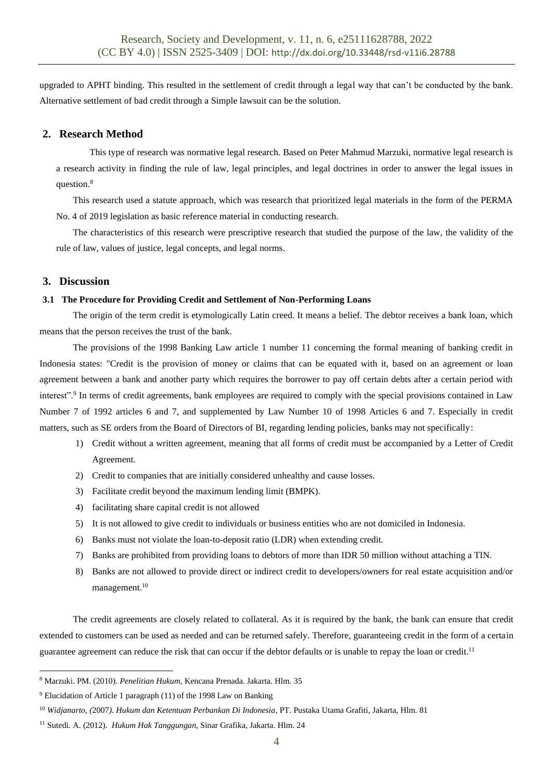upgraded to APHT binding. This resulted in the settlement of credit through a legal way that can't be conducted by the bank. Alternative settlement of bad credit through a Simple lawsuit can be the solution.

# **2. Research Method**

This type of research was normative legal research. Based on Peter Mahmud Marzuki, normative legal research is a research activity in finding the rule of law, legal principles, and legal doctrines in order to answer the legal issues in question.<sup>8</sup>

This research used a statute approach, which was research that prioritized legal materials in the form of the PERMA No. 4 of 2019 legislation as basic reference material in conducting research.

The characteristics of this research were prescriptive research that studied the purpose of the law, the validity of the rule of law, values of justice, legal concepts, and legal norms.

## **3. Discussion**

## **3.1 The Procedure for Providing Credit and Settlement of Non-Performing Loans**

The origin of the term credit is etymologically Latin creed. It means a belief. The debtor receives a bank loan, which means that the person receives the trust of the bank.

The provisions of the 1998 Banking Law article 1 number 11 concerning the formal meaning of banking credit in Indonesia states: "Credit is the provision of money or claims that can be equated with it, based on an agreement or loan agreement between a bank and another party which requires the borrower to pay off certain debts after a certain period with interest".<sup>9</sup> In terms of credit agreements, bank employees are required to comply with the special provisions contained in Law Number 7 of 1992 articles 6 and 7, and supplemented by Law Number 10 of 1998 Articles 6 and 7. Especially in credit matters, such as SE orders from the Board of Directors of BI, regarding lending policies, banks may not specifically:

- 1) Credit without a written agreement, meaning that all forms of credit must be accompanied by a Letter of Credit Agreement.
- 2) Credit to companies that are initially considered unhealthy and cause losses.
- 3) Facilitate credit beyond the maximum lending limit (BMPK).
- 4) facilitating share capital credit is not allowed
- 5) It is not allowed to give credit to individuals or business entities who are not domiciled in Indonesia.
- 6) Banks must not violate the loan-to-deposit ratio (LDR) when extending credit.
- 7) Banks are prohibited from providing loans to debtors of more than IDR 50 million without attaching a TIN.
- 8) Banks are not allowed to provide direct or indirect credit to developers/owners for real estate acquisition and/or management.<sup>10</sup>

The credit agreements are closely related to collateral. As it is required by the bank, the bank can ensure that credit extended to customers can be used as needed and can be returned safely. Therefore, guaranteeing credit in the form of a certain guarantee agreement can reduce the risk that can occur if the debtor defaults or is unable to repay the loan or credit.<sup>11</sup>

<sup>8</sup> Marzuki. PM. (2010). *Penelitian Hukum*, Kencana Prenada. Jakarta. Hlm. 35

<sup>9</sup> Elucidation of Article 1 paragraph (11) of the 1998 Law on Banking

<sup>10</sup> *Widjanarto, (*2007*). Hukum dan Ketentuan Perbankan Di Indonesia,* PT. Pustaka Utama Grafiti*,* Jakarta, Hlm. 81

<sup>11</sup> Sutedi*.* A. (2012). *Hukum Hak Tanggungan,* Sinar Grafika, Jakarta. Hlm. 24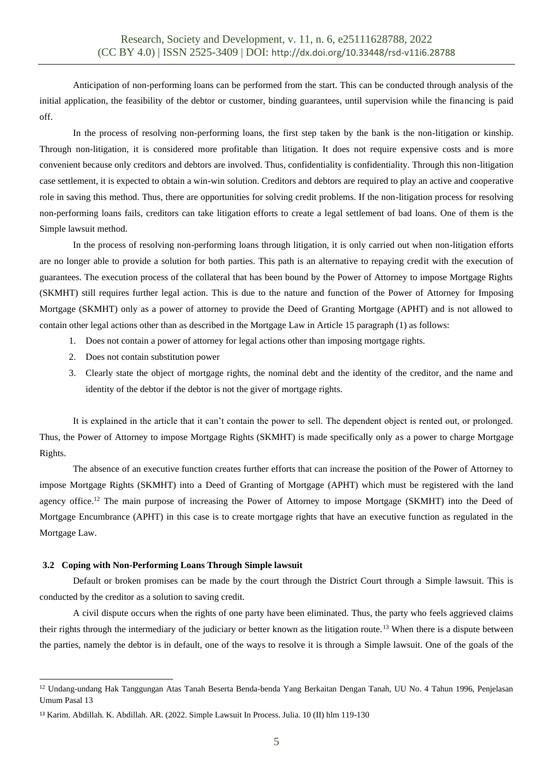Anticipation of non-performing loans can be performed from the start. This can be conducted through analysis of the initial application, the feasibility of the debtor or customer, binding guarantees, until supervision while the financing is paid off.

In the process of resolving non-performing loans, the first step taken by the bank is the non-litigation or kinship. Through non-litigation, it is considered more profitable than litigation. It does not require expensive costs and is more convenient because only creditors and debtors are involved. Thus, confidentiality is confidentiality. Through this non-litigation case settlement, it is expected to obtain a win-win solution. Creditors and debtors are required to play an active and cooperative role in saving this method. Thus, there are opportunities for solving credit problems. If the non-litigation process for resolving non-performing loans fails, creditors can take litigation efforts to create a legal settlement of bad loans. One of them is the Simple lawsuit method.

In the process of resolving non-performing loans through litigation, it is only carried out when non-litigation efforts are no longer able to provide a solution for both parties. This path is an alternative to repaying credit with the execution of guarantees. The execution process of the collateral that has been bound by the Power of Attorney to impose Mortgage Rights (SKMHT) still requires further legal action. This is due to the nature and function of the Power of Attorney for Imposing Mortgage (SKMHT) only as a power of attorney to provide the Deed of Granting Mortgage (APHT) and is not allowed to contain other legal actions other than as described in the Mortgage Law in Article 15 paragraph (1) as follows:

- 1. Does not contain a power of attorney for legal actions other than imposing mortgage rights.
- 2. Does not contain substitution power
- 3. Clearly state the object of mortgage rights, the nominal debt and the identity of the creditor, and the name and identity of the debtor if the debtor is not the giver of mortgage rights.

It is explained in the article that it can't contain the power to sell. The dependent object is rented out, or prolonged. Thus, the Power of Attorney to impose Mortgage Rights (SKMHT) is made specifically only as a power to charge Mortgage Rights.

The absence of an executive function creates further efforts that can increase the position of the Power of Attorney to impose Mortgage Rights (SKMHT) into a Deed of Granting of Mortgage (APHT) which must be registered with the land agency office.<sup>12</sup> The main purpose of increasing the Power of Attorney to impose Mortgage (SKMHT) into the Deed of Mortgage Encumbrance (APHT) in this case is to create mortgage rights that have an executive function as regulated in the Mortgage Law.

### **3.2 Coping with Non-Performing Loans Through Simple lawsuit**

Default or broken promises can be made by the court through the District Court through a Simple lawsuit. This is conducted by the creditor as a solution to saving credit.

A civil dispute occurs when the rights of one party have been eliminated. Thus, the party who feels aggrieved claims their rights through the intermediary of the judiciary or better known as the litigation route.<sup>13</sup> When there is a dispute between the parties, namely the debtor is in default, one of the ways to resolve it is through a Simple lawsuit. One of the goals of the

<sup>&</sup>lt;sup>12</sup> Undang-undang Hak Tanggungan Atas Tanah Beserta Benda-benda Yang Berkaitan Dengan Tanah, UU No. 4 Tahun 1996, Penjelasan Umum Pasal 13

<sup>13</sup> Karim. Abdillah. K. Abdillah. AR. (2022. Simple Lawsuit In Process. Julia. 10 (II) hlm 119-130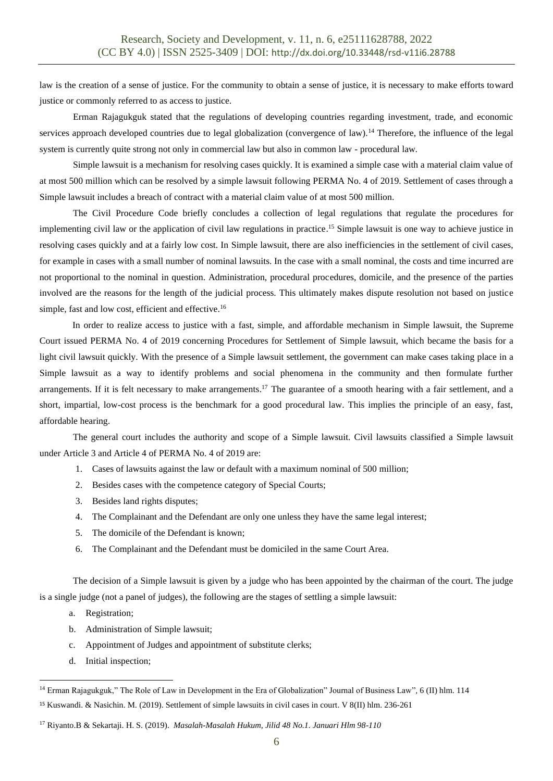law is the creation of a sense of justice. For the community to obtain a sense of justice, it is necessary to make efforts toward justice or commonly referred to as access to justice.

Erman Rajagukguk stated that the regulations of developing countries regarding investment, trade, and economic services approach developed countries due to legal globalization (convergence of law).<sup>14</sup> Therefore, the influence of the legal system is currently quite strong not only in commercial law but also in common law - procedural law*.*

Simple lawsuit is a mechanism for resolving cases quickly. It is examined a simple case with a material claim value of at most 500 million which can be resolved by a simple lawsuit following PERMA No. 4 of 2019. Settlement of cases through a Simple lawsuit includes a breach of contract with a material claim value of at most 500 million.

The Civil Procedure Code briefly concludes a collection of legal regulations that regulate the procedures for implementing civil law or the application of civil law regulations in practice. <sup>15</sup> Simple lawsuit is one way to achieve justice in resolving cases quickly and at a fairly low cost. In Simple lawsuit, there are also inefficiencies in the settlement of civil cases, for example in cases with a small number of nominal lawsuits. In the case with a small nominal, the costs and time incurred are not proportional to the nominal in question. Administration, procedural procedures, domicile, and the presence of the parties involved are the reasons for the length of the judicial process. This ultimately makes dispute resolution not based on justice simple, fast and low cost, efficient and effective.<sup>16</sup>

In order to realize access to justice with a fast, simple, and affordable mechanism in Simple lawsuit, the Supreme Court issued PERMA No. 4 of 2019 concerning Procedures for Settlement of Simple lawsuit, which became the basis for a light civil lawsuit quickly. With the presence of a Simple lawsuit settlement, the government can make cases taking place in a Simple lawsuit as a way to identify problems and social phenomena in the community and then formulate further arrangements. If it is felt necessary to make arrangements.<sup>17</sup> The guarantee of a smooth hearing with a fair settlement, and a short, impartial, low-cost process is the benchmark for a good procedural law. This implies the principle of an easy, fast, affordable hearing.

The general court includes the authority and scope of a Simple lawsuit. Civil lawsuits classified a Simple lawsuit under Article 3 and Article 4 of PERMA No. 4 of 2019 are:

- 1. Cases of lawsuits against the law or default with a maximum nominal of 500 million;
- 2. Besides cases with the competence category of Special Courts;
- 3. Besides land rights disputes;
- 4. The Complainant and the Defendant are only one unless they have the same legal interest;
- 5. The domicile of the Defendant is known;
- 6. The Complainant and the Defendant must be domiciled in the same Court Area.

The decision of a Simple lawsuit is given by a judge who has been appointed by the chairman of the court. The judge is a single judge (not a panel of judges), the following are the stages of settling a simple lawsuit:

- a. Registration;
- b. Administration of Simple lawsuit;
- c. Appointment of Judges and appointment of substitute clerks;
- d. Initial inspection;

<sup>14</sup> Erman Rajagukguk," The Role of Law in Development in the Era of Globalization" Journal of Business Law"*,* 6 (II) hlm. 114

<sup>15</sup> Kuswandi. & Nasichin. M. (2019). Settlement of simple lawsuits in civil cases in court. V 8(II) hlm. 236-261

<sup>17</sup> Riyanto.B & Sekartaji. H. S. (2019). *Masalah-Masalah Hukum, Jilid 48 No.1. Januari Hlm 98-110*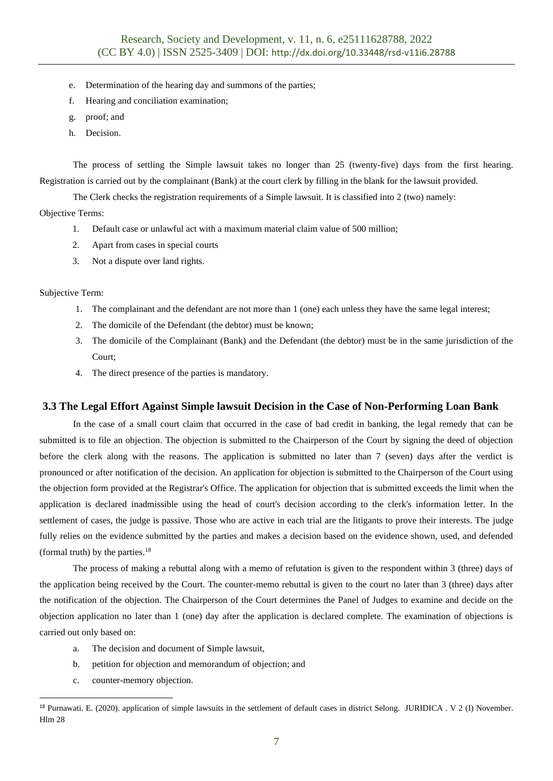- e. Determination of the hearing day and summons of the parties;
- f. Hearing and conciliation examination;
- g. proof; and
- h. Decision.

The process of settling the Simple lawsuit takes no longer than 25 (twenty-five) days from the first hearing. Registration is carried out by the complainant (Bank) at the court clerk by filling in the blank for the lawsuit provided.

The Clerk checks the registration requirements of a Simple lawsuit. It is classified into 2 (two) namely:

Objective Terms:

- 1. Default case or unlawful act with a maximum material claim value of 500 million;
- 2. Apart from cases in special courts
- 3. Not a dispute over land rights.

Subjective Term:

- 1. The complainant and the defendant are not more than 1 (one) each unless they have the same legal interest;
- 2. The domicile of the Defendant (the debtor) must be known;
- 3. The domicile of the Complainant (Bank) and the Defendant (the debtor) must be in the same jurisdiction of the Court;
- 4. The direct presence of the parties is mandatory.

### **3.3 The Legal Effort Against Simple lawsuit Decision in the Case of Non-Performing Loan Bank**

In the case of a small court claim that occurred in the case of bad credit in banking, the legal remedy that can be submitted is to file an objection. The objection is submitted to the Chairperson of the Court by signing the deed of objection before the clerk along with the reasons. The application is submitted no later than 7 (seven) days after the verdict is pronounced or after notification of the decision. An application for objection is submitted to the Chairperson of the Court using the objection form provided at the Registrar's Office. The application for objection that is submitted exceeds the limit when the application is declared inadmissible using the head of court's decision according to the clerk's information letter. In the settlement of cases, the judge is passive. Those who are active in each trial are the litigants to prove their interests. The judge fully relies on the evidence submitted by the parties and makes a decision based on the evidence shown, used, and defended (formal truth) by the parties.<sup>18</sup>

The process of making a rebuttal along with a memo of refutation is given to the respondent within 3 (three) days of the application being received by the Court. The counter-memo rebuttal is given to the court no later than 3 (three) days after the notification of the objection. The Chairperson of the Court determines the Panel of Judges to examine and decide on the objection application no later than 1 (one) day after the application is declared complete. The examination of objections is carried out only based on:

- a. The decision and document of Simple lawsuit,
- b. petition for objection and memorandum of objection; and
- c. counter-memory objection.

<sup>18</sup> Purnawati. E. (2020). application of simple lawsuits in the settlement of default cases in district Selong. JURIDICA . V 2 (I) November. Hlm 28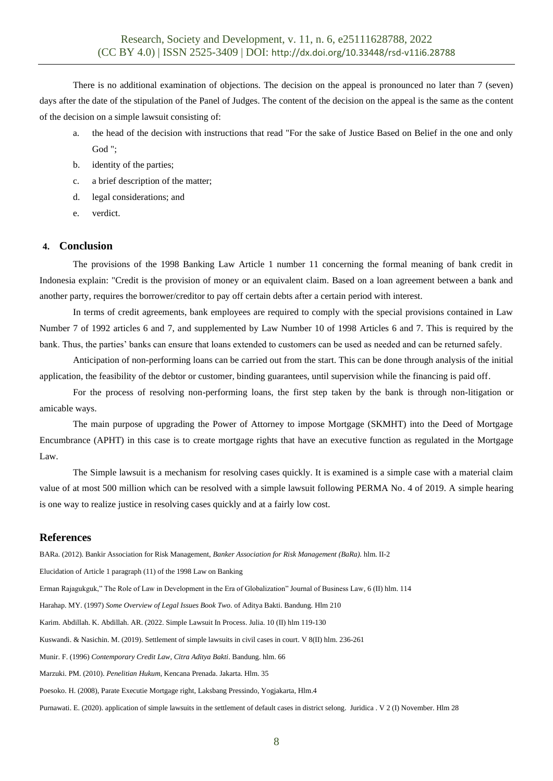There is no additional examination of objections. The decision on the appeal is pronounced no later than 7 (seven) days after the date of the stipulation of the Panel of Judges. The content of the decision on the appeal is the same as the content of the decision on a simple lawsuit consisting of:

- a. the head of the decision with instructions that read "For the sake of Justice Based on Belief in the one and only God ";
- b. identity of the parties;
- c. a brief description of the matter;
- d. legal considerations; and
- e. verdict.

## **4. Conclusion**

The provisions of the 1998 Banking Law Article 1 number 11 concerning the formal meaning of bank credit in Indonesia explain: "Credit is the provision of money or an equivalent claim. Based on a loan agreement between a bank and another party, requires the borrower/creditor to pay off certain debts after a certain period with interest.

In terms of credit agreements, bank employees are required to comply with the special provisions contained in Law Number 7 of 1992 articles 6 and 7, and supplemented by Law Number 10 of 1998 Articles 6 and 7. This is required by the bank. Thus, the parties' banks can ensure that loans extended to customers can be used as needed and can be returned safely.

Anticipation of non-performing loans can be carried out from the start. This can be done through analysis of the initial application, the feasibility of the debtor or customer, binding guarantees, until supervision while the financing is paid off.

For the process of resolving non-performing loans, the first step taken by the bank is through non-litigation or amicable ways.

The main purpose of upgrading the Power of Attorney to impose Mortgage (SKMHT) into the Deed of Mortgage Encumbrance (APHT) in this case is to create mortgage rights that have an executive function as regulated in the Mortgage Law.

The Simple lawsuit is a mechanism for resolving cases quickly. It is examined is a simple case with a material claim value of at most 500 million which can be resolved with a simple lawsuit following PERMA No. 4 of 2019. A simple hearing is one way to realize justice in resolving cases quickly and at a fairly low cost.

### **References**

BARa. (2012). Bankir Association for Risk Management, *Banker Association for Risk Management (BaRa).* hlm. II-2 Elucidation of Article 1 paragraph (11) of the 1998 Law on Banking Erman Rajagukguk," The Role of Law in Development in the Era of Globalization" Journal of Business Law*,* 6 (II) hlm. 114 Harahap. MY. (1997) *Some Overview of Legal Issues Book Two.* of Aditya Bakti. Bandung*.* Hlm 210 Karim. Abdillah. K. Abdillah. AR. (2022. Simple Lawsuit In Process. Julia. 10 (II) hlm 119-130 Kuswandi. & Nasichin. M. (2019). Settlement of simple lawsuits in civil cases in court. V 8(II) hlm. 236-261 Munir. F. (1996) *Contemporary Credit Law, Citra Aditya Bakti*. Bandung. hlm. 66 Marzuki. PM. (2010). *Penelitian Hukum*, Kencana Prenada. Jakarta. Hlm. 35 Poesoko. H. (2008), Parate Executie Mortgage right, Laksbang Pressindo, Yogjakarta, Hlm.4 Purnawati. E. (2020). application of simple lawsuits in the settlement of default cases in district selong. Juridica . V 2 (I) November. Hlm 28